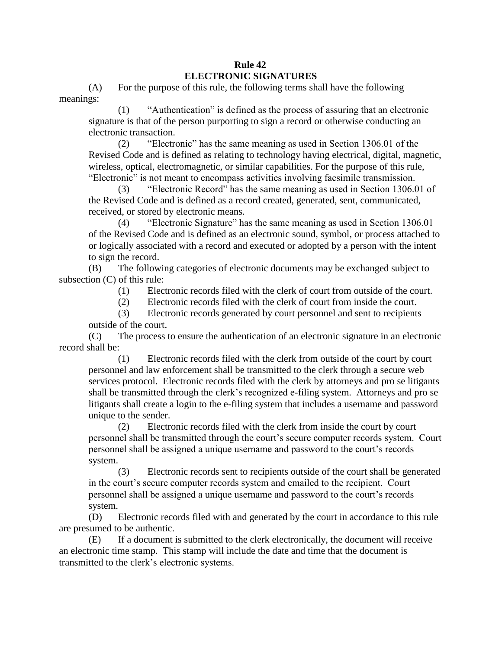## **Rule 42 ELECTRONIC SIGNATURES**

(A) For the purpose of this rule, the following terms shall have the following meanings:

(1) "Authentication" is defined as the process of assuring that an electronic signature is that of the person purporting to sign a record or otherwise conducting an electronic transaction.

(2) "Electronic" has the same meaning as used in Section 1306.01 of the Revised Code and is defined as relating to technology having electrical, digital, magnetic, wireless, optical, electromagnetic, or similar capabilities. For the purpose of this rule, "Electronic" is not meant to encompass activities involving facsimile transmission.

(3) "Electronic Record" has the same meaning as used in Section 1306.01 of the Revised Code and is defined as a record created, generated, sent, communicated, received, or stored by electronic means.

(4) "Electronic Signature" has the same meaning as used in Section 1306.01 of the Revised Code and is defined as an electronic sound, symbol, or process attached to or logically associated with a record and executed or adopted by a person with the intent to sign the record.

(B) The following categories of electronic documents may be exchanged subject to subsection (C) of this rule:

(1) Electronic records filed with the clerk of court from outside of the court.

(2) Electronic records filed with the clerk of court from inside the court.

(3) Electronic records generated by court personnel and sent to recipients outside of the court.

(C) The process to ensure the authentication of an electronic signature in an electronic record shall be:

(1) Electronic records filed with the clerk from outside of the court by court personnel and law enforcement shall be transmitted to the clerk through a secure web services protocol. Electronic records filed with the clerk by attorneys and pro se litigants shall be transmitted through the clerk's recognized e-filing system. Attorneys and pro se litigants shall create a login to the e-filing system that includes a username and password unique to the sender.

(2) Electronic records filed with the clerk from inside the court by court personnel shall be transmitted through the court's secure computer records system. Court personnel shall be assigned a unique username and password to the court's records system.

(3) Electronic records sent to recipients outside of the court shall be generated in the court's secure computer records system and emailed to the recipient. Court personnel shall be assigned a unique username and password to the court's records system.

(D) Electronic records filed with and generated by the court in accordance to this rule are presumed to be authentic.

(E) If a document is submitted to the clerk electronically, the document will receive an electronic time stamp. This stamp will include the date and time that the document is transmitted to the clerk's electronic systems.